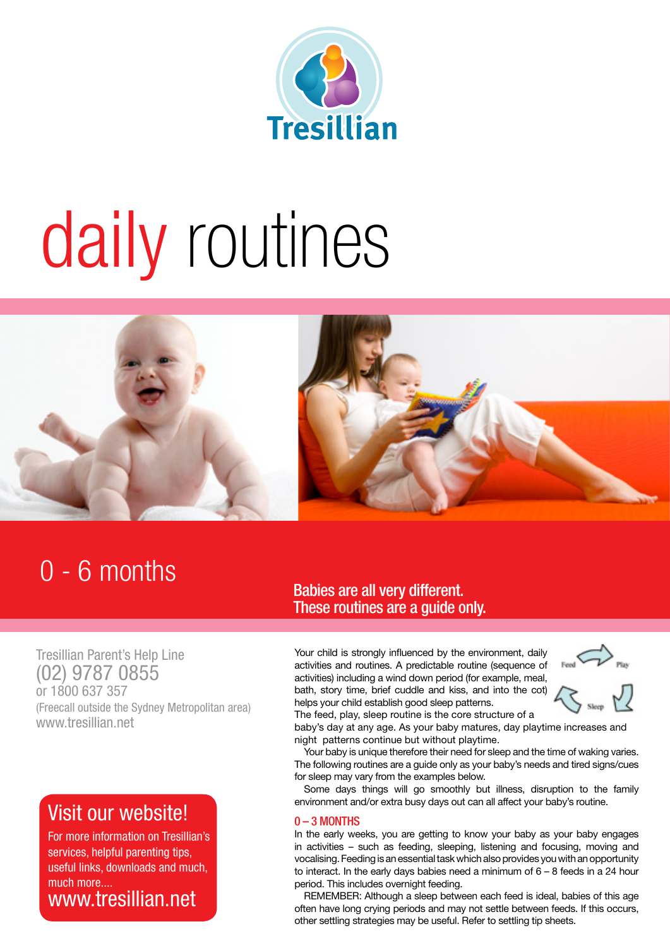

# daily routines



### 0 - 6 months

## Babies are all very different.

Tresillian Parent's Help Line (02) 9787 0855 or 1800 637 357 (Freecall outside the Sydney Metropolitan area) www.tresillian.net

#### Visit our website!

For more information on Tresillian's services, helpful parenting tips, useful links, downloads and much, much more.... www.tresillian.net

These routines are a guide only.

Your child is strongly influenced by the environment, daily activities and routines. A predictable routine (sequence of activities) including a wind down period (for example, meal, bath, story time, brief cuddle and kiss, and into the cot) helps your child establish good sleep patterns.



The feed, play, sleep routine is the core structure of a baby's day at any age. As your baby matures, day playtime increases and night patterns continue but without playtime.

Your baby is unique therefore their need for sleep and the time of waking varies. The following routines are a guide only as your baby's needs and tired signs/cues for sleep may vary from the examples below.

Some days things will go smoothly but illness, disruption to the family environment and/or extra busy days out can all affect your baby's routine.

#### 0 – 3 MONTHS

In the early weeks, you are getting to know your baby as your baby engages in activities – such as feeding, sleeping, listening and focusing, moving and vocalising. Feeding is an essential task which also provides you with an opportunity to interact. In the early days babies need a minimum of 6 – 8 feeds in a 24 hour period. This includes overnight feeding.

REMEMBER: Although a sleep between each feed is ideal, babies of this age often have long crying periods and may not settle between feeds. If this occurs, other settling strategies may be useful. Refer to settling tip sheets.